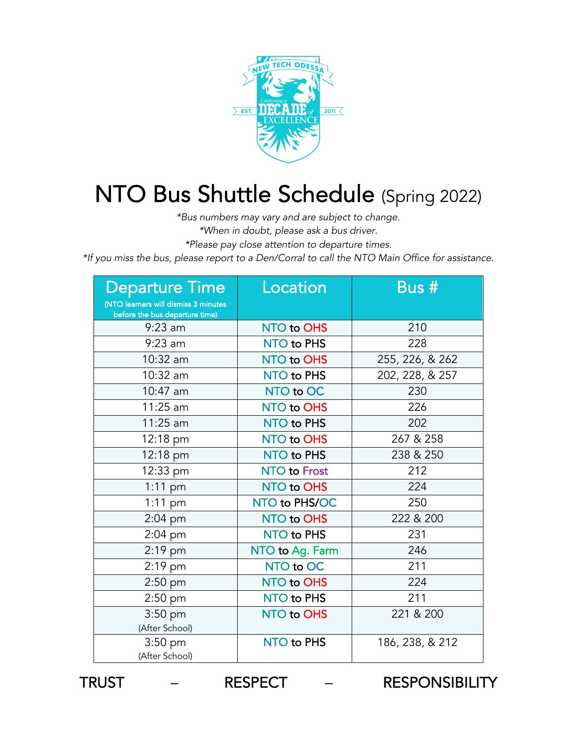

## NTO Bus Shuttle Schedule (Spring 2022)

*\*Bus numbers may vary and are subject to change.* 

*\*When in doubt, please ask a bus driver.* 

*\*Please pay close attention to departure times.* 

*\*If you miss the bus, please report to a Den/Corral to call the NTO Main Office for assistance.* 

| <b>Departure Time</b><br>(NTO learners will dismiss 3 minutes | Location            | Bus #           |
|---------------------------------------------------------------|---------------------|-----------------|
| before the bus departure time)<br>$9:23$ am                   | NTO to OHS          | 210             |
| $9:23$ am                                                     | NTO to PHS          | 228             |
| 10:32 am                                                      | NTO to OHS          | 255, 226, & 262 |
| 10:32 am                                                      | NTO to PHS          | 202, 228, & 257 |
| $10:47$ am                                                    | NTO to OC           | 230             |
| 11:25 am                                                      | NTO to OHS          | 226             |
| $11:25$ am                                                    | NTO to PHS          | 202             |
| 12:18 pm                                                      | NTO to OHS          | 267 & 258       |
| 12:18 pm                                                      | NTO to PHS          | 238 & 250       |
| 12:33 pm                                                      | <b>NTO to Frost</b> | 212             |
| $1:11$ pm                                                     | NTO to OHS          | 224             |
| $1:11$ pm                                                     | NTO to PHS/OC       | 250             |
| $2:04$ pm                                                     | NTO to OHS          | 222 & 200       |
| 2:04 pm                                                       | NTO to PHS          | 231             |
| $2:19$ pm                                                     | NTO to Ag. Farm     | 246             |
| $2:19$ pm                                                     | NTO to OC           | 211             |
| $2:50$ pm                                                     | NTO to OHS          | 224             |
| $2:50$ pm                                                     | NTO to PHS          | 211             |
| $3:50$ pm<br>(After School)                                   | <b>NTO to OHS</b>   | 221 & 200       |
| $3:50$ pm<br>(After School)                                   | NTO to PHS          | 186, 238, & 212 |

TRUST – RESPECT – RESPONSIBILITY